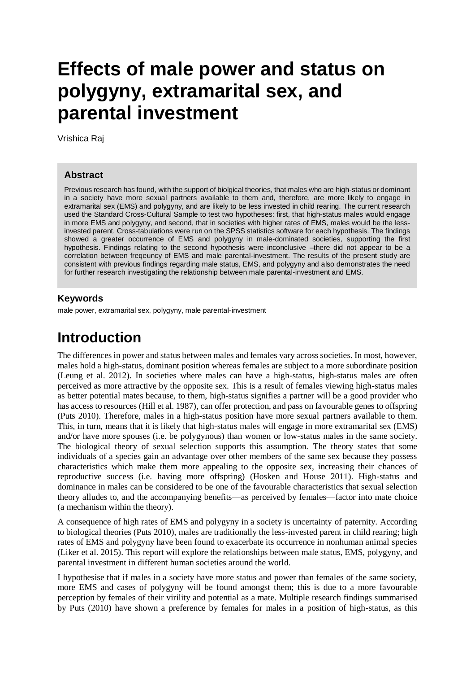# **Effects of male power and status on polygyny, extramarital sex, and parental investment**

Vrishica Raj

### **Abstract**

Previous research has found, with the support of biolgical theories, that males who are high-status or dominant in a society have more sexual partners available to them and, therefore, are more likely to engage in extramarital sex (EMS) and polygyny, and are likely to be less invested in child rearing. The current research used the Standard Cross-Cultural Sample to test two hypotheses: first, that high-status males would engage in more EMS and polygyny, and second, that in societies with higher rates of EMS, males would be the lessinvested parent. Cross-tabulations were run on the SPSS statistics software for each hypothesis. The findings showed a greater occurrence of EMS and polygyny in male-dominated societies, supporting the first hypothesis. Findings relating to the second hypothesis were inconclusive –there did not appear to be a correlation between freqeuncy of EMS and male parental-investment. The results of the present study are consistent with previous findings regarding male status, EMS, and polygyny and also demonstrates the need for further research investigating the relationship between male parental-investment and EMS.

### **Keywords**

male power, extramarital sex, polygyny, male parental-investment

### **Introduction**

The differences in power and status between males and females vary across societies. In most, however, males hold a high-status, dominant position whereas females are subject to a more subordinate position (Leung et al. 2012). In societies where males can have a high-status, high-status males are often perceived as more attractive by the opposite sex. This is a result of females viewing high-status males as better potential mates because, to them, high-status signifies a partner will be a good provider who has access to resources (Hill et al. 1987), can offer protection, and pass on favourable genes to offspring (Puts 2010). Therefore, males in a high-status position have more sexual partners available to them. This, in turn, means that it is likely that high-status males will engage in more extramarital sex (EMS) and/or have more spouses (i.e. be polygynous) than women or low-status males in the same society. The biological theory of sexual selection supports this assumption. The theory states that some individuals of a species gain an advantage over other members of the same sex because they possess characteristics which make them more appealing to the opposite sex, increasing their chances of reproductive success (i.e. having more offspring) (Hosken and House 2011). High-status and dominance in males can be considered to be one of the favourable characteristics that sexual selection theory alludes to, and the accompanying benefits—as perceived by females—factor into mate choice (a mechanism within the theory).

A consequence of high rates of EMS and polygyny in a society is uncertainty of paternity. According to biological theories (Puts 2010), males are traditionally the less-invested parent in child rearing; high rates of EMS and polygyny have been found to exacerbate its occurrence in nonhuman animal species (Liker et al. 2015). This report will explore the relationships between male status, EMS, polygyny, and parental investment in different human societies around the world.

I hypothesise that if males in a society have more status and power than females of the same society, more EMS and cases of polygyny will be found amongst them; this is due to a more favourable perception by females of their virility and potential as a mate. Multiple research findings summarised by Puts (2010) have shown a preference by females for males in a position of high-status, as this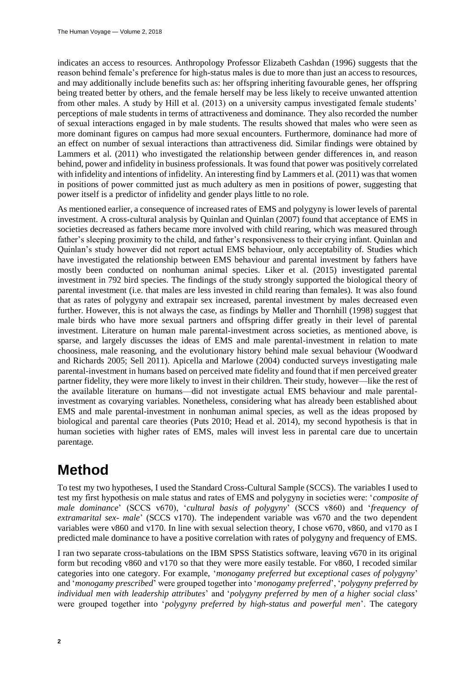indicates an access to resources. Anthropology Professor Elizabeth Cashdan (1996) suggests that the reason behind female's preference for high-status males is due to more than just an access to resources, and may additionally include benefits such as: her offspring inheriting favourable genes, her offspring being treated better by others, and the female herself may be less likely to receive unwanted attention from other males. A study by Hill et al. (2013) on a university campus investigated female students' perceptions of male students in terms of attractiveness and dominance. They also recorded the number of sexual interactions engaged in by male students. The results showed that males who were seen as more dominant figures on campus had more sexual encounters. Furthermore, dominance had more of an effect on number of sexual interactions than attractiveness did. Similar findings were obtained by Lammers et al. (2011) who investigated the relationship between gender differences in, and reason behind, power and infidelity in business professionals. It was found that power was positively correlated with infidelity and intentions of infidelity. An interesting find by Lammers et al. (2011) was that women in positions of power committed just as much adultery as men in positions of power, suggesting that power itself is a predictor of infidelity and gender plays little to no role.

As mentioned earlier, a consequence of increased rates of EMS and polygyny is lower levels of parental investment. A cross-cultural analysis by Quinlan and Quinlan (2007) found that acceptance of EMS in societies decreased as fathers became more involved with child rearing, which was measured through father's sleeping proximity to the child, and father's responsiveness to their crying infant. Quinlan and Quinlan's study however did not report actual EMS behaviour, only acceptability of. Studies which have investigated the relationship between EMS behaviour and parental investment by fathers have mostly been conducted on nonhuman animal species. Liker et al. (2015) investigated parental investment in 792 bird species. The findings of the study strongly supported the biological theory of parental investment (i.e. that males are less invested in child rearing than females). It was also found that as rates of polygyny and extrapair sex increased, parental investment by males decreased even further. However, this is not always the case, as findings by Møller and Thornhill (1998) suggest that male birds who have more sexual partners and offspring differ greatly in their level of parental investment. Literature on human male parental-investment across societies, as mentioned above, is sparse, and largely discusses the ideas of EMS and male parental-investment in relation to mate choosiness, male reasoning, and the evolutionary history behind male sexual behaviour (Woodward and Richards 2005; Sell 2011). Apicella and Marlowe (2004) conducted surveys investigating male parental-investment in humans based on perceived mate fidelity and found that if men perceived greater partner fidelity, they were more likely to invest in their children. Their study, however—like the rest of the available literature on humans—did not investigate actual EMS behaviour and male parentalinvestment as covarying variables. Nonetheless, considering what has already been established about EMS and male parental-investment in nonhuman animal species, as well as the ideas proposed by biological and parental care theories (Puts 2010; Head et al. 2014), my second hypothesis is that in human societies with higher rates of EMS, males will invest less in parental care due to uncertain parentage.

### **Method**

To test my two hypotheses, I used the Standard Cross-Cultural Sample (SCCS). The variables I used to test my first hypothesis on male status and rates of EMS and polygyny in societies were: '*composite of male dominance*' (SCCS v670), '*cultural basis of polygyny*' (SCCS v860) and '*frequency of extramarital sex- male*' (SCCS v170). The independent variable was v670 and the two dependent variables were v860 and v170. In line with sexual selection theory, I chose v670, v860, and v170 as I predicted male dominance to have a positive correlation with rates of polygyny and frequency of EMS.

I ran two separate cross-tabulations on the IBM SPSS Statistics software, leaving v670 in its original form but recoding v860 and v170 so that they were more easily testable. For v860, I recoded similar categories into one category. For example, '*monogamy preferred but exceptional cases of polygyny*' and '*monogamy prescribed*' were grouped together into '*monogamy preferred*', '*polygyny preferred by individual men with leadership attributes*' and '*polygyny preferred by men of a higher social class*' were grouped together into '*polygyny preferred by high-status and powerful men*'. The category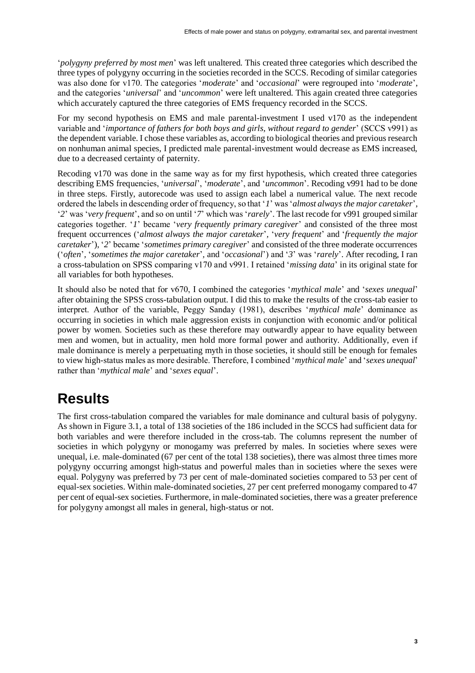'*polygyny preferred by most men*' was left unaltered. This created three categories which described the three types of polygyny occurring in the societies recorded in the SCCS. Recoding of similar categories was also done for v170. The categories '*moderate*' and '*occasional*' were regrouped into '*moderate*', and the categories '*universal*' and '*uncommon*' were left unaltered. This again created three categories which accurately captured the three categories of EMS frequency recorded in the SCCS.

For my second hypothesis on EMS and male parental-investment I used v170 as the independent variable and '*importance of fathers for both boys and girls, without regard to gender*' (SCCS v991) as the dependent variable. I chose these variables as, according to biological theories and previous research on nonhuman animal species, I predicted male parental-investment would decrease as EMS increased, due to a decreased certainty of paternity.

Recoding v170 was done in the same way as for my first hypothesis, which created three categories describing EMS frequencies, '*universal*', '*moderate*', and '*uncommon*'. Recoding v991 had to be done in three steps. Firstly, autorecode was used to assign each label a numerical value. The next recode ordered the labels in descending order of frequency, so that '*1*' was '*almost always the major caretaker*', '*2*' was '*very frequent*', and so on until '*7*' which was '*rarely*'. The last recode for v991 grouped similar categories together. '*1*' became '*very frequently primary caregiver*' and consisted of the three most frequent occurrences ('*almost always the major caretaker*'*,* '*very frequent*' and '*frequently the major caretaker*'), '*2*' became '*sometimes primary caregiver*' and consisted of the three moderate occurrences ('*often*'*,* '*sometimes the major caretaker*'*,* and '*occasional*') and '*3*' was '*rarely*'. After recoding, I ran a cross-tabulation on SPSS comparing v170 and v991. I retained '*missing data*' in its original state for all variables for both hypotheses.

It should also be noted that for v670, I combined the categories '*mythical male*' and '*sexes unequal*' after obtaining the SPSS cross-tabulation output. I did this to make the results of the cross-tab easier to interpret. Author of the variable, Peggy Sanday (1981), describes '*mythical male*' dominance as occurring in societies in which male aggression exists in conjunction with economic and/or political power by women. Societies such as these therefore may outwardly appear to have equality between men and women, but in actuality, men hold more formal power and authority. Additionally, even if male dominance is merely a perpetuating myth in those societies, it should still be enough for females to view high-status males as more desirable. Therefore, I combined '*mythical male*' and '*sexes unequal*' rather than '*mythical male*' and '*sexes equal*'.

# **Results**

The first cross-tabulation compared the variables for male dominance and cultural basis of polygyny. As shown in Figure 3.1, a total of 138 societies of the 186 included in the SCCS had sufficient data for both variables and were therefore included in the cross-tab. The columns represent the number of societies in which polygyny or monogamy was preferred by males. In societies where sexes were unequal, i.e. male-dominated (67 per cent of the total 138 societies), there was almost three times more polygyny occurring amongst high-status and powerful males than in societies where the sexes were equal. Polygyny was preferred by 73 per cent of male-dominated societies compared to 53 per cent of equal-sex societies. Within male-dominated societies, 27 per cent preferred monogamy compared to 47 per cent of equal-sex societies. Furthermore, in male-dominated societies, there was a greater preference for polygyny amongst all males in general, high-status or not.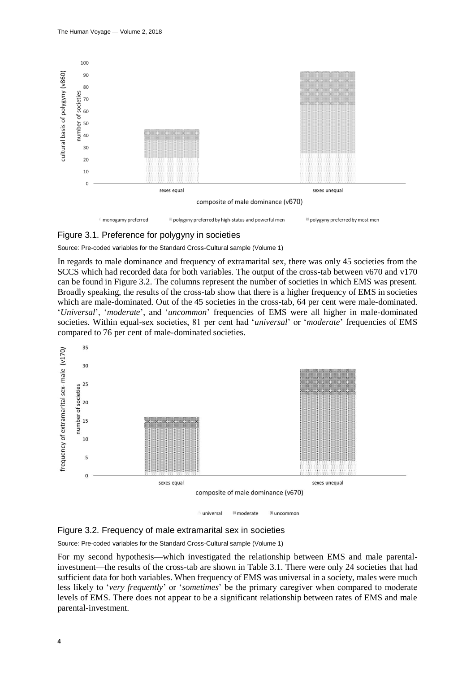

#### Figure 3.1. Preference for polygyny in societies

Source: Pre-coded variables for the Standard Cross-Cultural sample (Volume 1)

In regards to male dominance and frequency of extramarital sex, there was only 45 societies from the SCCS which had recorded data for both variables. The output of the cross-tab between v670 and v170 can be found in Figure 3.2. The columns represent the number of societies in which EMS was present. Broadly speaking, the results of the cross-tab show that there is a higher frequency of EMS in societies which are male-dominated. Out of the 45 societies in the cross-tab, 64 per cent were male-dominated. '*Universal*', '*moderate*', and '*uncommon*' frequencies of EMS were all higher in male-dominated societies. Within equal-sex societies, 81 per cent had '*universal*' or '*moderate*' frequencies of EMS compared to 76 per cent of male-dominated societies.



i universal **moderate &** uncommon



Source: Pre-coded variables for the Standard Cross-Cultural sample (Volume 1)

For my second hypothesis—which investigated the relationship between EMS and male parentalinvestment—the results of the cross-tab are shown in Table 3.1. There were only 24 societies that had sufficient data for both variables. When frequency of EMS was universal in a society, males were much less likely to '*very frequently*' or '*sometimes*' be the primary caregiver when compared to moderate levels of EMS. There does not appear to be a significant relationship between rates of EMS and male parental-investment.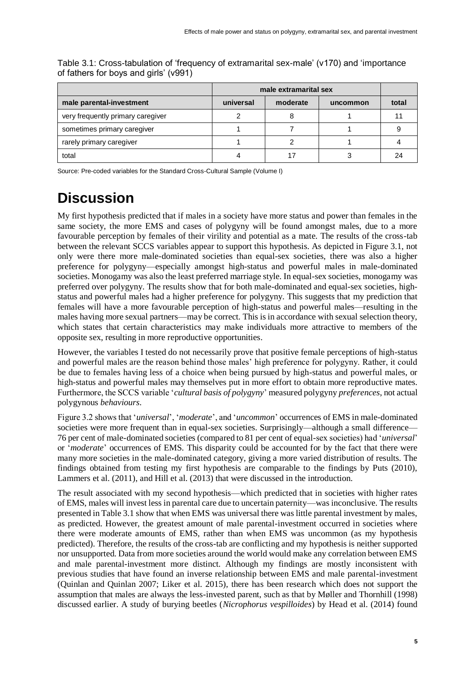|                                   | male extramarital sex |          |          |       |
|-----------------------------------|-----------------------|----------|----------|-------|
| male parental-investment          | universal             | moderate | uncommon | total |
| very frequently primary caregiver |                       |          |          |       |
| sometimes primary caregiver       |                       |          |          |       |
| rarely primary caregiver          |                       |          |          |       |
| total                             |                       |          |          | 24    |

Table 3.1: Cross-tabulation of 'frequency of extramarital sex-male' (v170) and 'importance of fathers for boys and girls' (v991)

Source: Pre-coded variables for the Standard Cross-Cultural Sample (Volume I)

# **Discussion**

My first hypothesis predicted that if males in a society have more status and power than females in the same society, the more EMS and cases of polygyny will be found amongst males, due to a more favourable perception by females of their virility and potential as a mate. The results of the cross-tab between the relevant SCCS variables appear to support this hypothesis. As depicted in Figure 3.1, not only were there more male-dominated societies than equal-sex societies, there was also a higher preference for polygyny—especially amongst high-status and powerful males in male-dominated societies. Monogamy was also the least preferred marriage style. In equal-sex societies, monogamy was preferred over polygyny. The results show that for both male-dominated and equal-sex societies, highstatus and powerful males had a higher preference for polygyny. This suggests that my prediction that females will have a more favourable perception of high-status and powerful males—resulting in the males having more sexual partners—may be correct. This is in accordance with sexual selection theory, which states that certain characteristics may make individuals more attractive to members of the opposite sex, resulting in more reproductive opportunities.

However, the variables I tested do not necessarily prove that positive female perceptions of high-status and powerful males are the reason behind those males' high preference for polygyny. Rather, it could be due to females having less of a choice when being pursued by high-status and powerful males, or high-status and powerful males may themselves put in more effort to obtain more reproductive mates. Furthermore, the SCCS variable '*cultural basis of polygyny*' measured polygyny *preferences*, not actual polygynous *behaviours*.

Figure 3.2 shows that '*universal*', '*moderate*', and '*uncommon*' occurrences of EMS in male-dominated societies were more frequent than in equal-sex societies. Surprisingly—although a small difference— 76 per cent of male-dominated societies (compared to 81 per cent of equal-sex societies) had '*universal*' or '*moderate*' occurrences of EMS. This disparity could be accounted for by the fact that there were many more societies in the male-dominated category, giving a more varied distribution of results. The findings obtained from testing my first hypothesis are comparable to the findings by Puts (2010), Lammers et al. (2011), and Hill et al. (2013) that were discussed in the introduction.

The result associated with my second hypothesis—which predicted that in societies with higher rates of EMS, males will invest less in parental care due to uncertain paternity—was inconclusive. The results presented in Table 3.1 show that when EMS was universal there was little parental investment by males, as predicted. However, the greatest amount of male parental-investment occurred in societies where there were moderate amounts of EMS, rather than when EMS was uncommon (as my hypothesis predicted). Therefore, the results of the cross-tab are conflicting and my hypothesis is neither supported nor unsupported. Data from more societies around the world would make any correlation between EMS and male parental-investment more distinct. Although my findings are mostly inconsistent with previous studies that have found an inverse relationship between EMS and male parental-investment (Quinlan and Quinlan 2007; Liker et al. 2015), there has been research which does not support the assumption that males are always the less-invested parent, such as that by Møller and Thornhill (1998) discussed earlier. A study of burying beetles (*Nicrophorus vespilloides*) by Head et al. (2014) found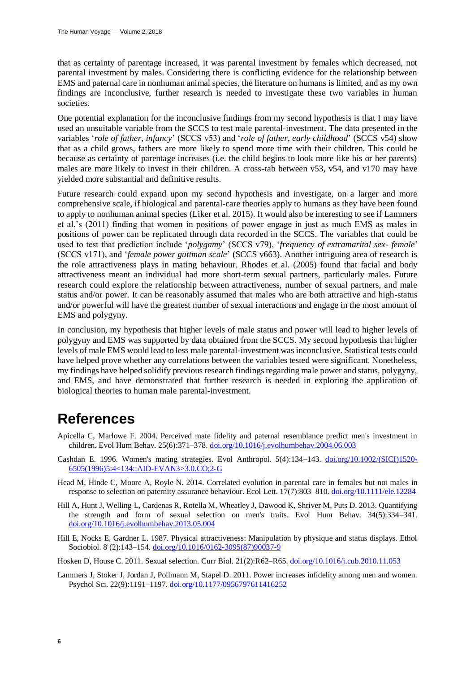that as certainty of parentage increased, it was parental investment by females which decreased, not parental investment by males. Considering there is conflicting evidence for the relationship between EMS and paternal care in nonhuman animal species, the literature on humans is limited, and as my own findings are inconclusive, further research is needed to investigate these two variables in human societies.

One potential explanation for the inconclusive findings from my second hypothesis is that I may have used an unsuitable variable from the SCCS to test male parental-investment. The data presented in the variables '*role of father, infancy*' (SCCS v53) and '*role of father, early childhood*' (SCCS v54) show that as a child grows, fathers are more likely to spend more time with their children. This could be because as certainty of parentage increases (i.e. the child begins to look more like his or her parents) males are more likely to invest in their children. A cross-tab between v53, v54, and v170 may have yielded more substantial and definitive results.

Future research could expand upon my second hypothesis and investigate, on a larger and more comprehensive scale, if biological and parental-care theories apply to humans as they have been found to apply to nonhuman animal species (Liker et al. 2015). It would also be interesting to see if Lammers et al.'s (2011) finding that women in positions of power engage in just as much EMS as males in positions of power can be replicated through data recorded in the SCCS. The variables that could be used to test that prediction include '*polygamy*' (SCCS v79), '*frequency of extramarital sex- female*' (SCCS v171), and '*female power guttman scale*' (SCCS v663). Another intriguing area of research is the role attractiveness plays in mating behaviour. Rhodes et al. (2005) found that facial and body attractiveness meant an individual had more short-term sexual partners, particularly males. Future research could explore the relationship between attractiveness, number of sexual partners, and male status and/or power. It can be reasonably assumed that males who are both attractive and high-status and/or powerful will have the greatest number of sexual interactions and engage in the most amount of EMS and polygyny.

In conclusion, my hypothesis that higher levels of male status and power will lead to higher levels of polygyny and EMS was supported by data obtained from the SCCS. My second hypothesis that higher levels of male EMS would lead to less male parental-investment was inconclusive. Statistical tests could have helped prove whether any correlations between the variables tested were significant. Nonetheless, my findings have helped solidify previous research findings regarding male power and status, polygyny, and EMS, and have demonstrated that further research is needed in exploring the application of biological theories to human male parental-investment.

## **References**

- Apicella C, Marlowe F. 2004. Perceived mate fidelity and paternal resemblance predict men's investment in children. Evol Hum Behav. 25(6):371–378. [doi.org/10.1016/j.evolhumbehav.2004.06.003](https://doi.org/10.1016/j.evolhumbehav.2004.06.003)
- Cashdan E. 1996. Women's mating strategies. Evol Anthropol. 5(4):134–143. [doi.org/10.1002/\(SICI\)1520-](https://doi.org/10.1002/(SICI)1520-6505(1996)5:4%3C134::AID-EVAN3%3E3.0.CO;2-G) [6505\(1996\)5:4<134::AID-EVAN3>3.0.CO;2-G](https://doi.org/10.1002/(SICI)1520-6505(1996)5:4%3C134::AID-EVAN3%3E3.0.CO;2-G)
- Head M, Hinde C, Moore A, Royle N. 2014. Correlated evolution in parental care in females but not males in response to selection on paternity assurance behaviour. Ecol Lett. 17(7):803–810. [doi.org/10.1111/ele.12284](https://doi.org/10.1111/ele.12284)
- Hill A, Hunt J, Welling L, Cardenas R, Rotella M, Wheatley J, Dawood K, Shriver M, Puts D. 2013. Quantifying the strength and form of sexual selection on men's traits. Evol Hum Behav. 34(5):334–341. [doi.org/10.1016/j.evolhumbehav.2013.05.004](https://doi.org/10.1016/j.evolhumbehav.2013.05.004)
- Hill E, Nocks E, Gardner L. 1987. Physical attractiveness: Manipulation by physique and status displays. Ethol Sociobiol. 8 (2):143–154. [doi.org/10.1016/0162-3095\(87\)90037-9](https://doi.org/10.1016/0162-3095(87)90037-9)
- Hosken D, House C. 2011. Sexual selection. Curr Biol. 21(2):R62–R65. [doi.org/10.1016/j.cub.2010.11.053](https://doi.org/10.1016/j.cub.2010.11.053)
- Lammers J, Stoker J, Jordan J, Pollmann M, Stapel D. 2011. Power increases infidelity among men and women. Psychol Sci. 22(9):1191–1197[. doi.org/10.1177/0956797611416252](https://doi.org/10.1177/0956797611416252)